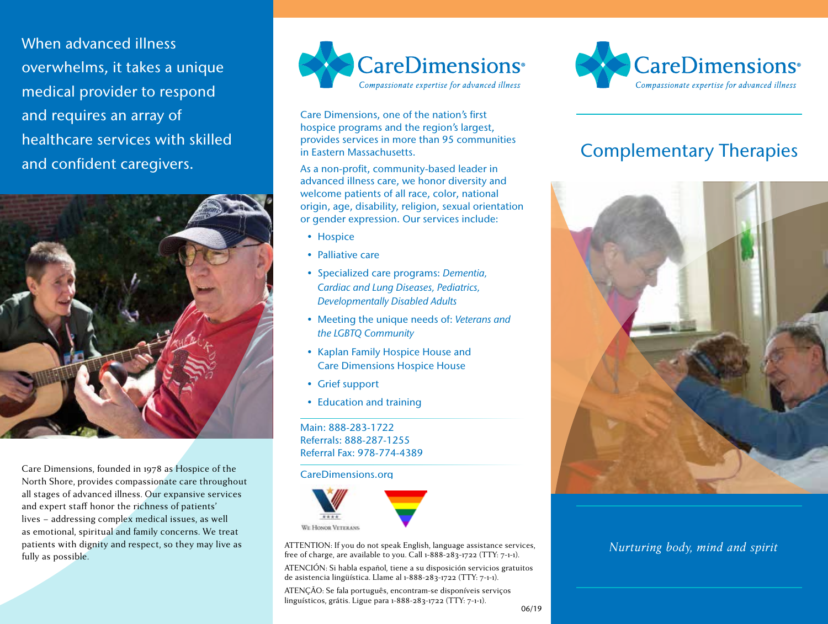When advanced illness overwhelms, it takes a unique medical provider to respond and requires an array of healthcare services with skilled and confident caregivers.



Care Dimensions, founded in 1978 as Hospice of the North Shore, provides compassionate care throughout all stages of advanced illness. Our expansive services and expert staff honor the richness of patients' lives – addressing complex medical issues, as well as emotional, spiritual and family concerns. We treat patients with dignity and respect, so they may live as fully as possible.



Care Dimensions, one of the nation's first hospice programs and the region's largest, provides services in more than 95 communities in Eastern Massachusetts.

As a non-profit, community-based leader in advanced illness care, we honor diversity and welcome patients of all race, color, national origin, age, disability, religion, sexual orientation or gender expression. Our services include:

- Hospice
- Palliative care
- Specialized care programs: *Dementia, Cardiac and Lung Diseases, Pediatrics, Developmentally Disabled Adults*
- Meeting the unique needs of: *Veterans and the LGBTQ Community*
- Kaplan Family Hospice House and Care Dimensions Hospice House
- Grief support
- Education and training

Main: 888-283-1722 Referrals: 888-287-1255 Referral Fax: 978-774-4389

#### CareDimensions.org



ATTENTION: If you do not speak English, language assistance services, free of charge, are available to you. Call 1-888-283-1722 (TTY: 7-1-1).

ATENCIÓN: Si habla español, tiene a su disposición servicios gratuitos de asistencia lingüística. Llame al 1-888-283-1722 (TTY: 7-1-1).

ATENÇÃO: Se fala português, encontram-se disponíveis serviços linguísticos, grátis. Ligue para 1-888-283-1722 (TTY: 7-1-1).



# Complementary Therapies



## *Nurturing body, mind and spirit*